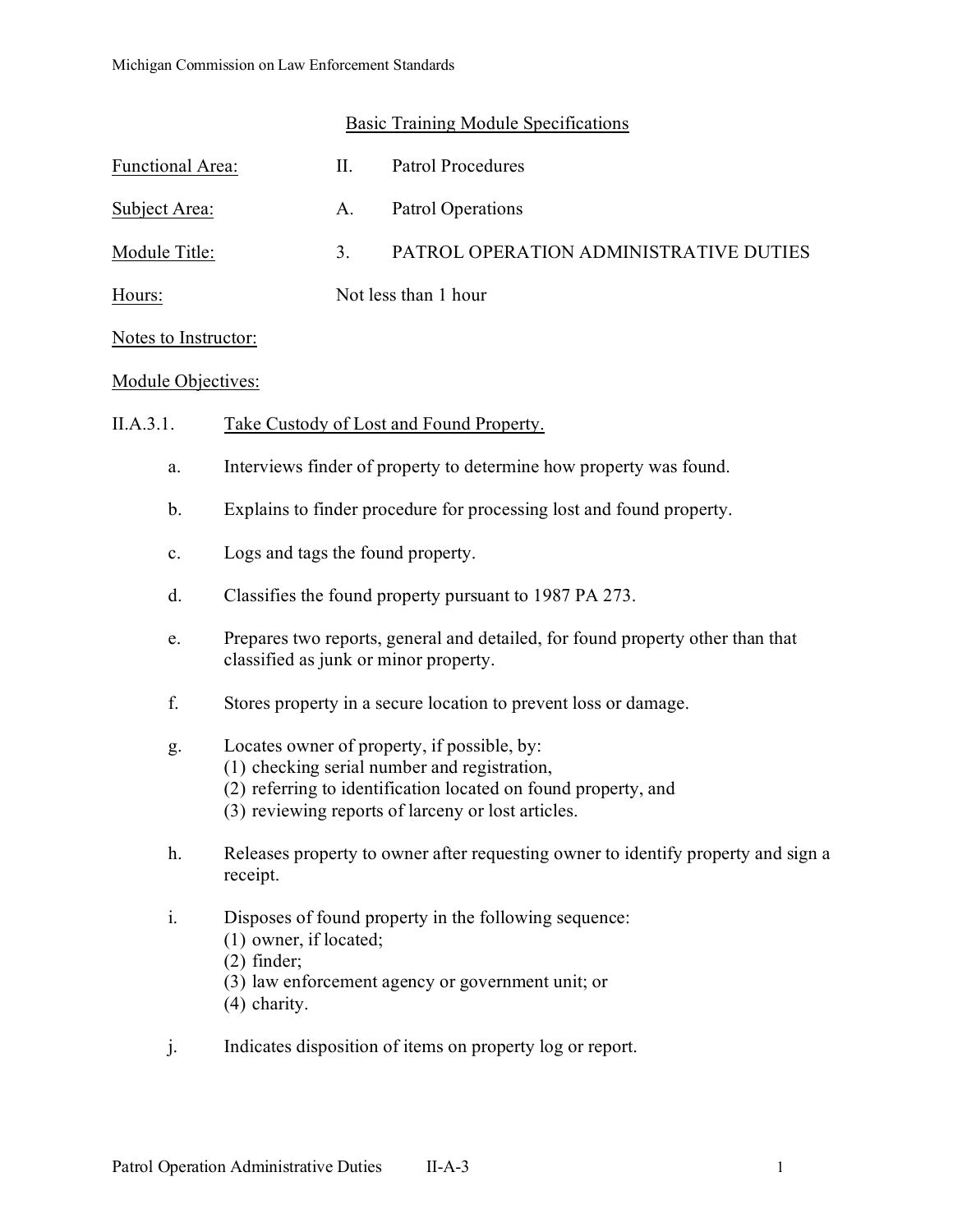| Functional Area:     | Н. | Patrol Procedures                      |
|----------------------|----|----------------------------------------|
| Subject Area:        | A. | Patrol Operations                      |
| Module Title:        | 3. | PATROL OPERATION ADMINISTRATIVE DUTIES |
| Hours:               |    | Not less than 1 hour                   |
| Notes to Instructor: |    |                                        |

## Module Objectives:

## II.A.3.1. Take Custody of Lost and Found Property.

- a. Interviews finder of property to determine how property was found.
- b. Explains to finder procedure for processing lost and found property.
- c. Logs and tags the found property.
- d. Classifies the found property pursuant to 1987 PA 273.
- e. Prepares two reports, general and detailed, for found property other than that classified as junk or minor property.
- f. Stores property in a secure location to prevent loss or damage.

## g. Locates owner of property, if possible, by:

- (1) checking serial number and registration,
- (2) referring to identification located on found property, and
- (3) reviewing reports of larceny or lost articles.
- h. Releases property to owner after requesting owner to identify property and sign a receipt.
- i. Disposes of found property in the following sequence:
	- (1) owner, if located;
	- (2) finder;

(3) law enforcement agency or government unit; or

- (4) charity.
- j. Indicates disposition of items on property log or report.